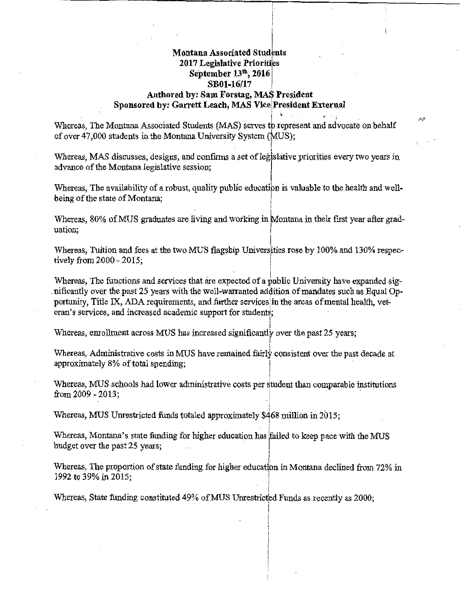## I **Montana Associated Students 2017 Legislative Priorities September 13th, 2016 SBOl-16/17**  Authored by: Sam Forstag, MAS President Sponsored by: Garrett Leach, MAS Vice President External

I

I

I

I

 $\mathbf i$ 

i

I I

!

**i** ' . . <sup>~</sup>

تلبس

Whereas, The Montana Associated Students (MAS) serves tb represent and advocate on behalf of over  $47,000$  students in the Montana University System (MUS);  $\overline{I}$ 

Whereas, MAS discusses, designs, and confirms a set of legislative priorities every two years in advance of the Montana legislative session;

Whereas, The availability of a robust, quality public education is valuable to the health and wellbeing of the state of Montana:

! Whereas, 80% of MUS graduates are living and working in Montana in their first year after graduation; Internation; Internation; Internation; Internation; Internation; Internation; Internation; Internation; Internation; Internation; Internation; Internation; Internation; Internation; Internation; Internation; Intern

Whereas, Tuition and fees at the two MUS flagship Universities rose by  $100\%$  and  $130\%$  respectively from  $2000 - 2015$ ; I

Whereas. The functions and services that are expected of a public University have expanded significantly over the past 25 years with the well-warranted addition of mandates such as Equal Opportunity. Title IX, ADA requirements, and further services in the areas of mental health, veteran's services, and increased academic support for students;

i Whereas, enrollment across MOS has increased significantly over the past 25 years;

Whereas, Administrative costs in MUS have remained fairly consistent over the past decade at approximately 8% of total spending;

Whereas, MUS schools had lower administrative costs per student than comparable institutions from  $2009 - 2013$ ;  $\cdot \}$ 

Whereas, MUS Unrestricted funds totaled approximately  $$468$  million in 2015;

Whereas, Montana's state funding for higher education has failed to keep pace with the MUS budget over the past 25 years;

Whereas, The proportion of state funding for higher education in Montana declined from 72% in 1992 to 39% in 2015;

' i Whereas, State funding constituted 49% of MUS Unrestricted Funds as recently as 2000;